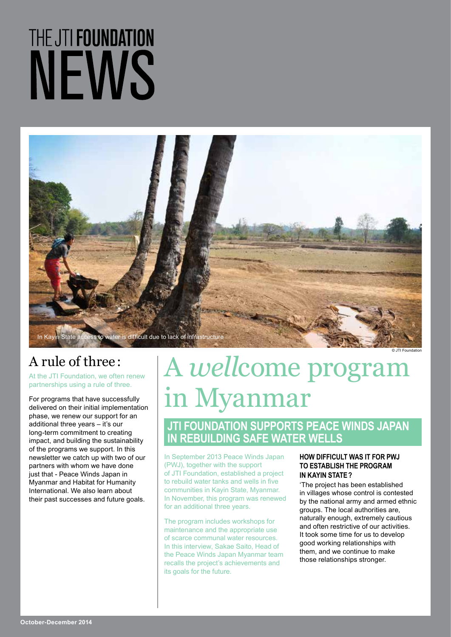# THE JTI FOUNDATION NEWS



## A rule of three :

At the JTI Foundation, we often renew partnerships using a rule of three.

For programs that have successfully delivered on their initial implementation phase, we renew our support for an additional three years – it's our long-term commitment to creating impact, and building the sustainability of the programs we support. In this newsletter we catch up with two of our partners with whom we have done just that - Peace Winds Japan in Myanmar and Habitat for Humanity International. We also learn about their past successes and future goals.

# A *well*come program in Myanmar

#### **JTI FOUNDATION SUPPORTS PEACE WINDS JAPAN IN REBUILDING SAFE WATER WELLS**

In September 2013 Peace Winds Japan (PWJ), together with the support of JTI Foundation, established a project to rebuild water tanks and wells in five communities in Kayin State, Myanmar. In November, this program was renewed for an additional three years.

The program includes workshops for maintenance and the appropriate use of scarce communal water resources. In this interview, Sakae Saito, Head of the Peace Winds Japan Myanmar team recalls the project's achievements and its goals for the future.

#### **HOW DIFFICULT WAS IT FOR PWJ TO ESTABLISH THE PROGRAM IN KAYIN STATE?**

'The project has been established in villages whose control is contested by the national army and armed ethnic groups. The local authorities are, naturally enough, extremely cautious and often restrictive of our activities. It took some time for us to develop good working relationships with them, and we continue to make those relationships stronger.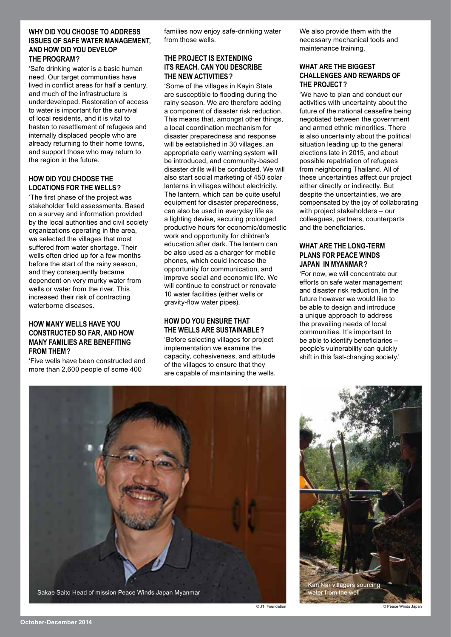#### **WHY DID YOU CHOOSE TO ADDRESS ISSUES OF SAFE WATER MANAGEMENT, AND HOW DID YOU DEVELOP THE PROGRAM?**

'Safe drinking water is a basic human need. Our target communities have lived in conflict areas for half a century, and much of the infrastructure is underdeveloped. Restoration of access to water is important for the survival of local residents, and it is vital to hasten to resettlement of refugees and internally displaced people who are already returning to their home towns, and support those who may return to the region in the future.

#### **HOW DID YOU CHOOSE THE LOCATIONS FOR THE WELLS?**

'The first phase of the project was stakeholder field assessments. Based on a survey and information provided by the local authorities and civil society organizations operating in the area, we selected the villages that most suffered from water shortage. Their wells often dried up for a few months before the start of the rainy season, and they consequently became dependent on very murky water from wells or water from the river. This increased their risk of contracting waterborne diseases.

#### **HOW MANY WELLS HAVE YOU CONSTRUCTED SO FAR, AND HOW MANY FAMILIES ARE BENEFITING FROM THEM?**

'Five wells have been constructed and more than 2,600 people of some 400

families now enjoy safe-drinking water from those wells.

#### **THE PROJECT IS EXTENDING ITS REACH. CAN YOU DESCRIBE THE NEW ACTIVITIES?**

'Some of the villages in Kayin State are susceptible to flooding during the rainy season. We are therefore adding a component of disaster risk reduction. This means that, amongst other things, a local coordination mechanism for disaster preparedness and response will be established in 30 villages, an appropriate early warning system will be introduced, and community-based disaster drills will be conducted. We will also start social marketing of 450 solar lanterns in villages without electricity. The lantern, which can be quite useful equipment for disaster preparedness, can also be used in everyday life as a lighting devise, securing prolonged productive hours for economic/domestic work and opportunity for children's education after dark. The lantern can be also used as a charger for mobile phones, which could increase the opportunity for communication, and improve social and economic life. We will continue to construct or renovate 10 water facilities (either wells or gravity-flow water pipes).

#### **HOW DO YOU ENSURE THAT THE WELLS ARE SUSTAINABLE?**

'Before selecting villages for project implementation we examine the capacity, cohesiveness, and attitude of the villages to ensure that they are capable of maintaining the wells. We also provide them with the necessary mechanical tools and maintenance training.

#### **WHAT ARE THE BIGGEST CHALLENGES AND REWARDS OF THE PROJECT?**

'We have to plan and conduct our activities with uncertainty about the future of the national ceasefire being negotiated between the government and armed ethnic minorities. There is also uncertainty about the political situation leading up to the general elections late in 2015, and about possible repatriation of refugees from neighboring Thailand. All of these uncertainties affect our project either directly or indirectly. But despite the uncertainties, we are compensated by the joy of collaborating with project stakeholders – our colleagues, partners, counterparts and the beneficiaries.

#### **WHAT ARE THE LONG-TERM PLANS FOR PEACE WINDS JAPAN IN MYANMAR?**

'For now, we will concentrate our efforts on safe water management and disaster risk reduction. In the future however we would like to be able to design and introduce a unique approach to address the prevailing needs of local communities. It's important to be able to identify beneficiaries – people's vulnerability can quickly shift in this fast-changing society.'



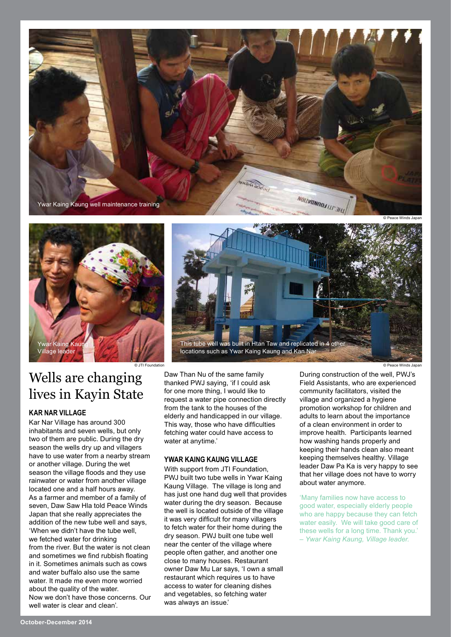



### Wells are changing lives in Kayin State

#### **KAR NAR VILLAGE**

Kar Nar Village has around 300 inhabitants and seven wells, but only two of them are public. During the dry season the wells dry up and villagers have to use water from a nearby stream or another village. During the wet season the village floods and they use rainwater or water from another village located one and a half hours away. As a farmer and member of a family of seven, Daw Saw Hla told Peace Winds Japan that she really appreciates the addition of the new tube well and says, 'When we didn't have the tube well, we fetched water for drinking from the river. But the water is not clean and sometimes we find rubbish floating in it. Sometimes animals such as cows and water buffalo also use the same water. It made me even more worried about the quality of the water. Now we don't have those concerns. Our well water is clear and clean'.



Daw Than Nu of the same family thanked PWJ saying, 'if I could ask for one more thing, I would like to request a water pipe connection directly from the tank to the houses of the elderly and handicapped in our village. This way, those who have difficulties fetching water could have access to water at anytime.'

#### **YWAR KAING KAUNG VILLAGE**

With support from JTI Foundation. PWJ built two tube wells in Ywar Kaing Kaung Village. The village is long and has just one hand dug well that provides water during the dry season. Because the well is located outside of the village it was very difficult for many villagers to fetch water for their home during the dry season. PWJ built one tube well near the center of the village where people often gather, and another one close to many houses. Restaurant owner Daw Mu Lar says, 'I own a small restaurant which requires us to have access to water for cleaning dishes and vegetables, so fetching water was always an issue.'

© JTI Foundation © Peace Winds Japan

During construction of the well, PWJ's Field Assistants, who are experienced community facilitators, visited the village and organized a hygiene promotion workshop for children and adults to learn about the importance of a clean environment in order to improve health. Participants learned how washing hands properly and keeping their hands clean also meant keeping themselves healthy. Village leader Daw Pa Ka is very happy to see that her village does not have to worry about water anymore.

'Many families now have access to good water, especially elderly people who are happy because they can fetch water easily. We will take good care of these wells for a long time. Thank you.' *– Ywar Kaing Kaung, Village leader.*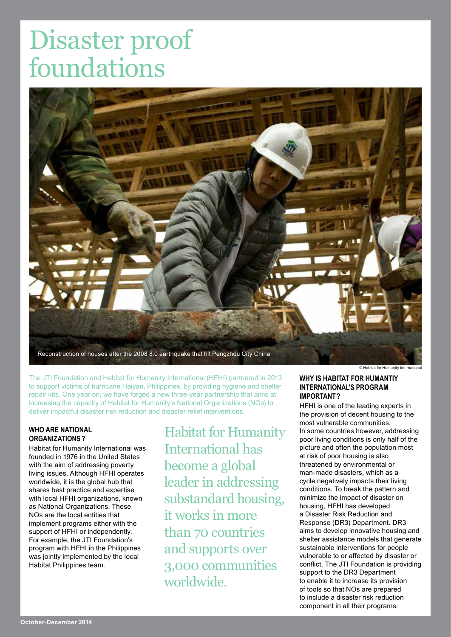# Disaster proof foundations



The JTI Foundation and Habitat for Humanity International (HFHI) partnered in 2013 to support victims of hurricane Haiyan, Philippines, by providing hygiene and shelter repair kits. One year on, we have forged a new three-year partnership that aims at increasing the capacity of Habitat for Humanity's National Organizations (NOs) to deliver impactful disaster risk reduction and disaster relief interventions.

#### **WHO ARE NATIONAL ORGANIZATIONS?**

Habitat for Humanity International was founded in 1976 in the United States with the aim of addressing poverty living issues. Although HFHI operates worldwide, it is the global hub that shares best practice and expertise with local HFHI organizations, known as National Organizations. These NOs are the local entities that implement programs either with the support of HFHI or independently. For example, the JTI Foundation's program with HFHI in the Philippines was jointly implemented by the local Habitat Philippines team.

Habitat for Humanity International has become a global leader in addressing substandard housing, it works in more than 70 countries and supports over 3,000 communities worldwide.

© Habitat for Humanity International

#### **WHY IS HABITAT FOR HUMANTIY INTERNATIONAL'S PROGRAM IMPORTANT?**

HFHI is one of the leading experts in the provision of decent housing to the most vulnerable communities. In some countries however, addressing poor living conditions is only half of the picture and often the population most at risk of poor housing is also threatened by environmental or man-made disasters, which as a cycle negatively impacts their living conditions. To break the pattern and minimize the impact of disaster on housing, HFHI has developed a Disaster Risk Reduction and Response (DR3) Department. DR3 aims to develop innovative housing and shelter assistance models that generate sustainable interventions for people vulnerable to or affected by disaster or conflict. The JTI Foundation is providing support to the DR3 Department to enable it to increase its provision of tools so that NOs are prepared to include a disaster risk reduction component in all their programs.